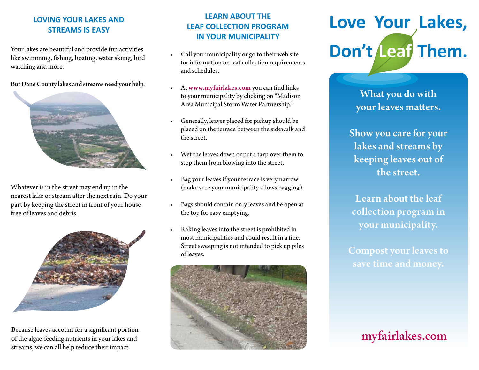### **LOVING YOUR LAKES AND STREAMS IS EASY**

Your lakes are beautiful and provide fun activities like swimming, fishing, boating, water skiing, bird watching and more.

#### But Dane County lakes and streams need your help.



Whatever is in the street may end up in the nearest lake or stream after the next rain. Do your part by keeping the street in front of your house free of leaves and debris.



Because leaves account for a significant portion of the algae-feeding nutrients in your lakes and streams, we can all help reduce their impact.

### **LEARN ABOUT THE LEAF COLLECTION PROGRAM IN YOUR MUNICIPALITY**

- Call your municipality or go to their web site for information on leaf collection requirements and schedules.
- At www.myfairlakes.com you can find links to your municipality by clicking on "Madison Area Municipal Storm Water Partnership."
- Generally, leaves placed for pickup should be placed on the terrace between the sidewalk and the street.
- • Wet the leaves down or put a tarp over them to stop them from blowing into the street.
- Bag your leaves if your terrace is very narrow (make sure your municipality allows bagging).
- Bags should contain only leaves and be open at the top for easy emptying.
- Raking leaves into the street is prohibited in most municipalities and could result in a fine. Street sweeping is not intended to pick up piles of leaves.



# **Love Your Lakes, Don't Leaf Them.**

What you do with your leaves matters.

Show you care for your lakes and streams by keeping leaves out of the street.

Learn about the leaf collection program in your municipality.

Compost your leaves to save time and money.

## **myfairlakes.com**